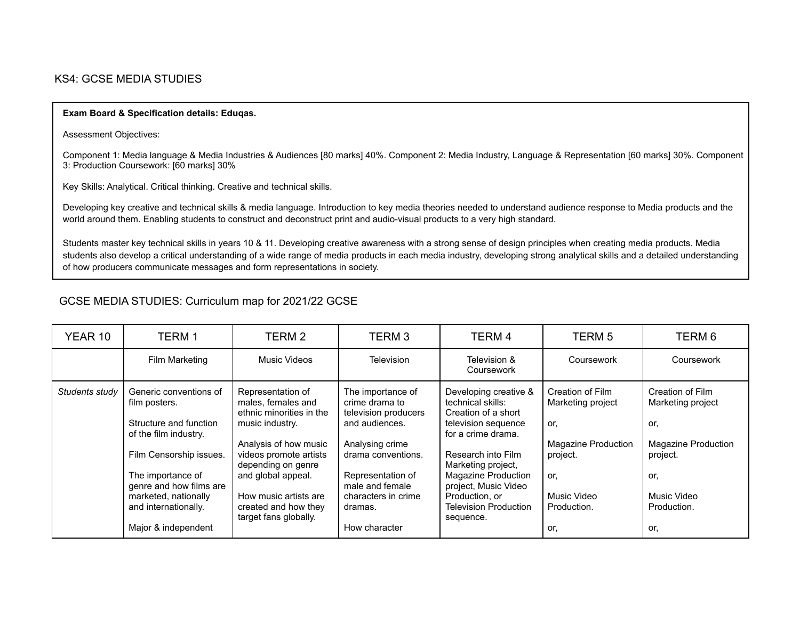## KS4: GCSE MEDIA STUDIES

## **Exam Board & Specification details: Eduqas.**

Assessment Objectives:

Component 1: Media language & Media Industries & Audiences [80 marks] 40%. Component 2: Media Industry, Language & Representation [60 marks] 30%. Component 3: Production Coursework: [60 marks] 30%

Key Skills: Analytical. Critical thinking. Creative and technical skills.

Developing key creative and technical skills & media language. Introduction to key media theories needed to understand audience response to Media products and the world around them. Enabling students to construct and deconstruct print and audio-visual products to a very high standard.

Students master key technical skills in years 10 & 11. Developing creative awareness with a strong sense of design principles when creating media products. Media students also develop a critical understanding of a wide range of media products in each media industry, developing strong analytical skills and a detailed understanding of how producers communicate messages and form representations in society.

## GCSE MEDIA STUDIES: Curriculum map for 2021/22 GCSE

| YEAR 10        | TERM 1                                                                                                                                         | TERM 2                                                                                                                                       | TERM <sub>3</sub>                                                                                             | TERM 4                                                                                                                                                 | <b>TERM 5</b>                                                              | TERM 6                                                                     |
|----------------|------------------------------------------------------------------------------------------------------------------------------------------------|----------------------------------------------------------------------------------------------------------------------------------------------|---------------------------------------------------------------------------------------------------------------|--------------------------------------------------------------------------------------------------------------------------------------------------------|----------------------------------------------------------------------------|----------------------------------------------------------------------------|
|                | Film Marketing                                                                                                                                 | Music Videos                                                                                                                                 | <b>Television</b>                                                                                             | Television &<br>Coursework                                                                                                                             | Coursework                                                                 | Coursework                                                                 |
| Students study | Generic conventions of<br>film posters.<br>Structure and function<br>of the film industry.                                                     | Representation of<br>males, females and<br>ethnic minorities in the<br>music industry.<br>Analysis of how music                              | The importance of<br>crime drama to<br>television producers<br>and audiences.<br>Analysing crime              | Developing creative &<br>technical skills:<br>Creation of a short<br>television sequence<br>for a crime drama.                                         | Creation of Film<br>Marketing project<br>or.<br><b>Magazine Production</b> | Creation of Film<br>Marketing project<br>or.<br><b>Magazine Production</b> |
|                | Film Censorship issues.<br>The importance of<br>genre and how films are<br>marketed, nationally<br>and internationally.<br>Major & independent | videos promote artists<br>depending on genre<br>and global appeal.<br>How music artists are<br>created and how they<br>target fans globally. | drama conventions.<br>Representation of<br>male and female<br>characters in crime<br>dramas.<br>How character | Research into Film<br>Marketing project,<br>Magazine Production<br>project, Music Video<br>Production, or<br><b>Television Production</b><br>sequence. | project.<br>or.<br>Music Video<br>Production.<br>or.                       | project.<br>or.<br>Music Video<br>Production.<br>or.                       |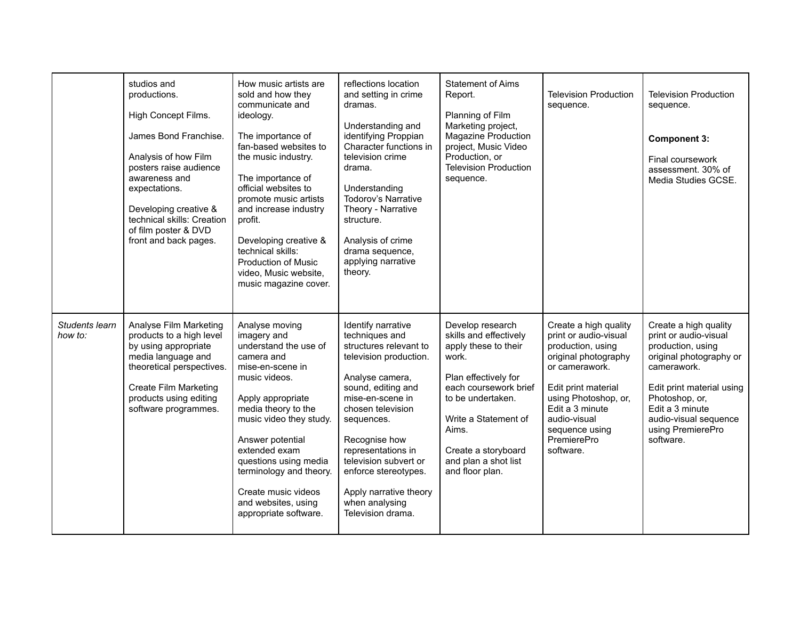|                           | studios and<br>productions.<br>High Concept Films.<br>James Bond Franchise.<br>Analysis of how Film<br>posters raise audience<br>awareness and<br>expectations.<br>Developing creative &<br>technical skills: Creation<br>of film poster & DVD<br>front and back pages. | How music artists are<br>sold and how they<br>communicate and<br>ideology.<br>The importance of<br>fan-based websites to<br>the music industry.<br>The importance of<br>official websites to<br>promote music artists<br>and increase industry<br>profit.<br>Developing creative &<br>technical skills:<br><b>Production of Music</b><br>video, Music website,<br>music magazine cover. | reflections location<br>and setting in crime<br>dramas.<br>Understanding and<br>identifying Proppian<br>Character functions in<br>television crime<br>drama.<br>Understanding<br>Todorov's Narrative<br>Theory - Narrative<br>structure.<br>Analysis of crime<br>drama sequence,<br>applying narrative<br>theory.                                 | <b>Statement of Aims</b><br>Report.<br>Planning of Film<br>Marketing project,<br>Magazine Production<br>project, Music Video<br>Production, or<br><b>Television Production</b><br>sequence.                                                          | <b>Television Production</b><br>sequence.                                                                                                                                                                                                     | <b>Television Production</b><br>sequence.<br><b>Component 3:</b><br>Final coursework<br>assessment. 30% of<br>Media Studies GCSE.                                                                                                          |
|---------------------------|-------------------------------------------------------------------------------------------------------------------------------------------------------------------------------------------------------------------------------------------------------------------------|-----------------------------------------------------------------------------------------------------------------------------------------------------------------------------------------------------------------------------------------------------------------------------------------------------------------------------------------------------------------------------------------|---------------------------------------------------------------------------------------------------------------------------------------------------------------------------------------------------------------------------------------------------------------------------------------------------------------------------------------------------|------------------------------------------------------------------------------------------------------------------------------------------------------------------------------------------------------------------------------------------------------|-----------------------------------------------------------------------------------------------------------------------------------------------------------------------------------------------------------------------------------------------|--------------------------------------------------------------------------------------------------------------------------------------------------------------------------------------------------------------------------------------------|
| Students learn<br>how to: | Analyse Film Marketing<br>products to a high level<br>by using appropriate<br>media language and<br>theoretical perspectives.<br><b>Create Film Marketing</b><br>products using editing<br>software programmes.                                                         | Analyse moving<br>imagery and<br>understand the use of<br>camera and<br>mise-en-scene in<br>music videos.<br>Apply appropriate<br>media theory to the<br>music video they study.<br>Answer potential<br>extended exam<br>questions using media<br>terminology and theory.<br>Create music videos<br>and websites, using<br>appropriate software.                                        | Identify narrative<br>techniques and<br>structures relevant to<br>television production.<br>Analyse camera,<br>sound, editing and<br>mise-en-scene in<br>chosen television<br>sequences.<br>Recognise how<br>representations in<br>television subvert or<br>enforce stereotypes.<br>Apply narrative theory<br>when analysing<br>Television drama. | Develop research<br>skills and effectively<br>apply these to their<br>work.<br>Plan effectively for<br>each coursework brief<br>to be undertaken.<br>Write a Statement of<br>Aims.<br>Create a storyboard<br>and plan a shot list<br>and floor plan. | Create a high quality<br>print or audio-visual<br>production, using<br>original photography<br>or camerawork.<br>Edit print material<br>using Photoshop, or,<br>Edit a 3 minute<br>audio-visual<br>sequence using<br>PremierePro<br>software. | Create a high quality<br>print or audio-visual<br>production, using<br>original photography or<br>camerawork.<br>Edit print material using<br>Photoshop, or,<br>Edit a 3 minute<br>audio-visual sequence<br>using PremierePro<br>software. |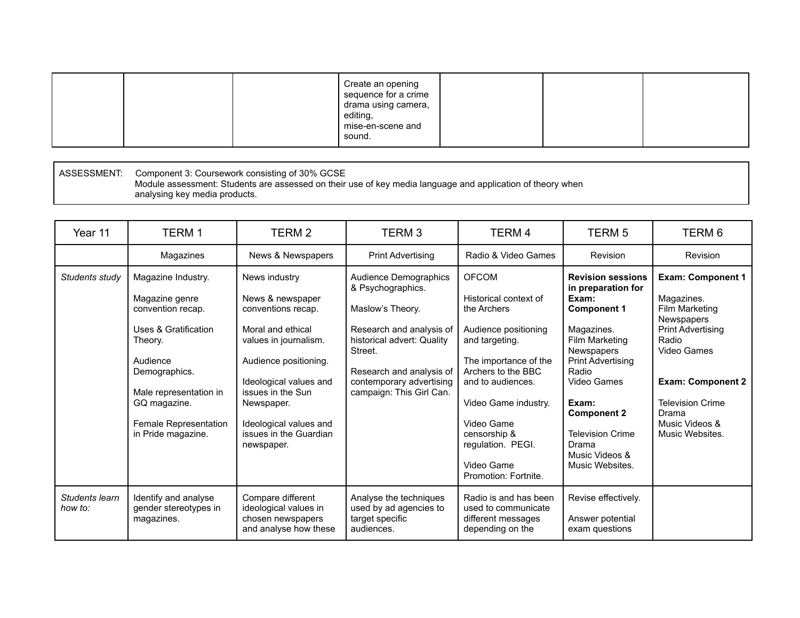ASSESSMENT: Component 3: Coursework consisting of 30% GCSE Module assessment: Students are assessed on their use of key media language and application of theory when analysing key media products.

| Year 11                   | TERM 1                                                                                                                                                                                                                        | TERM 2                                                                                                                                                                                                                                                        | TERM <sub>3</sub>                                                                                                                                                                                                       | TERM 4                                                                                                                                                                                                                                                                              | <b>TERM 5</b>                                                                                                                                                                                                                                                                           | TERM 6                                                                                                                                                                                                                          |
|---------------------------|-------------------------------------------------------------------------------------------------------------------------------------------------------------------------------------------------------------------------------|---------------------------------------------------------------------------------------------------------------------------------------------------------------------------------------------------------------------------------------------------------------|-------------------------------------------------------------------------------------------------------------------------------------------------------------------------------------------------------------------------|-------------------------------------------------------------------------------------------------------------------------------------------------------------------------------------------------------------------------------------------------------------------------------------|-----------------------------------------------------------------------------------------------------------------------------------------------------------------------------------------------------------------------------------------------------------------------------------------|---------------------------------------------------------------------------------------------------------------------------------------------------------------------------------------------------------------------------------|
|                           | Magazines                                                                                                                                                                                                                     | News & Newspapers                                                                                                                                                                                                                                             | <b>Print Advertising</b>                                                                                                                                                                                                | Radio & Video Games                                                                                                                                                                                                                                                                 | Revision                                                                                                                                                                                                                                                                                | Revision                                                                                                                                                                                                                        |
| Students study            | Magazine Industry.<br>Magazine genre<br>convention recap.<br><b>Uses &amp; Gratification</b><br>Theory.<br>Audience<br>Demographics.<br>Male representation in<br>GQ magazine.<br>Female Representation<br>in Pride magazine. | News industry<br>News & newspaper<br>conventions recap.<br>Moral and ethical<br>values in journalism.<br>Audience positioning.<br>Ideological values and<br>issues in the Sun<br>Newspaper.<br>Ideological values and<br>issues in the Guardian<br>newspaper. | Audience Demographics<br>& Psychographics.<br>Maslow's Theory.<br>Research and analysis of<br>historical advert: Quality<br>Street.<br>Research and analysis of<br>contemporary advertising<br>campaign: This Girl Can. | <b>OFCOM</b><br>Historical context of<br>the Archers<br>Audience positioning<br>and targeting.<br>The importance of the<br>Archers to the BBC<br>and to audiences.<br>Video Game industry.<br>Video Game<br>censorship &<br>regulation. PEGI.<br>Video Game<br>Promotion: Fortnite. | <b>Revision sessions</b><br>in preparation for<br>Exam:<br><b>Component 1</b><br>Magazines.<br>Film Marketing<br>Newspapers<br><b>Print Advertising</b><br>Radio<br>Video Games<br>Exam:<br><b>Component 2</b><br><b>Television Crime</b><br>Drama<br>Music Videos &<br>Music Websites. | <b>Exam: Component 1</b><br>Magazines.<br>Film Marketing<br>Newspapers<br><b>Print Advertising</b><br>Radio<br>Video Games<br><b>Exam: Component 2</b><br><b>Television Crime</b><br>Drama<br>Music Videos &<br>Music Websites. |
| Students learn<br>how to: | Identify and analyse<br>gender stereotypes in<br>magazines.                                                                                                                                                                   | Compare different<br>ideological values in<br>chosen newspapers<br>and analyse how these                                                                                                                                                                      | Analyse the techniques<br>used by ad agencies to<br>target specific<br>audiences.                                                                                                                                       | Radio is and has been<br>used to communicate<br>different messages<br>depending on the                                                                                                                                                                                              | Revise effectively.<br>Answer potential<br>exam questions                                                                                                                                                                                                                               |                                                                                                                                                                                                                                 |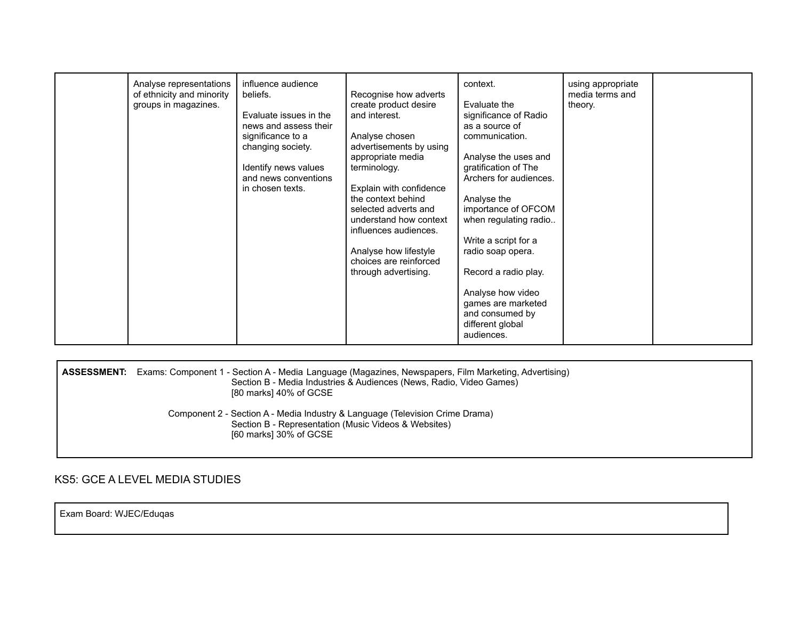| Evaluate issues in the<br>and interest.<br>significance of Radio<br>news and assess their<br>as a source of<br>significance to a<br>Analyse chosen<br>communication.<br>advertisements by using<br>changing society.<br>appropriate media<br>Analyse the uses and<br>Identify news values<br>gratification of The<br>terminology.<br>and news conventions<br>Archers for audiences.<br>Explain with confidence<br>in chosen texts.<br>the context behind<br>Analyse the<br>importance of OFCOM<br>selected adverts and<br>understand how context<br>when regulating radio<br>influences audiences.<br>Write a script for a<br>Analyse how lifestyle<br>radio soap opera.<br>choices are reinforced<br>Record a radio play.<br>through advertising.<br>Analyse how video<br>games are marketed<br>and consumed by<br>different global<br>audiences. |  |  |
|----------------------------------------------------------------------------------------------------------------------------------------------------------------------------------------------------------------------------------------------------------------------------------------------------------------------------------------------------------------------------------------------------------------------------------------------------------------------------------------------------------------------------------------------------------------------------------------------------------------------------------------------------------------------------------------------------------------------------------------------------------------------------------------------------------------------------------------------------|--|--|
|----------------------------------------------------------------------------------------------------------------------------------------------------------------------------------------------------------------------------------------------------------------------------------------------------------------------------------------------------------------------------------------------------------------------------------------------------------------------------------------------------------------------------------------------------------------------------------------------------------------------------------------------------------------------------------------------------------------------------------------------------------------------------------------------------------------------------------------------------|--|--|

|  | <b>ASSESSMENT:</b> Exams: Component 1 - Section A - Media Language (Magazines, Newspapers, Film Marketing, Advertising)<br>Section B - Media Industries & Audiences (News, Radio, Video Games)<br>[80 marks] 40% of GCSE |
|--|--------------------------------------------------------------------------------------------------------------------------------------------------------------------------------------------------------------------------|
|  | Component 2 - Section A - Media Industry & Language (Television Crime Drama)<br>Section B - Representation (Music Videos & Websites)<br>[60 marks] 30% of GCSE                                                           |

KS5: GCE A LEVEL MEDIA STUDIES

Exam Board: WJEC/Eduqas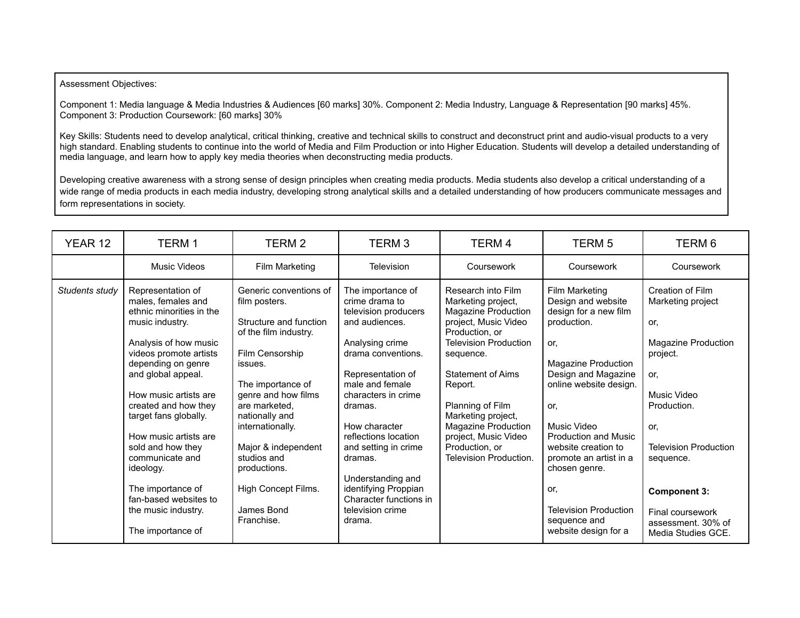## Assessment Objectives:

Component 1: Media language & Media Industries & Audiences [60 marks] 30%. Component 2: Media Industry, Language & Representation [90 marks] 45%. Component 3: Production Coursework: [60 marks] 30%

Key Skills: Students need to develop analytical, critical thinking, creative and technical skills to construct and deconstruct print and audio-visual products to a very high standard. Enabling students to continue into the world of Media and Film Production or into Higher Education. Students will develop a detailed understanding of media language, and learn how to apply key media theories when deconstructing media products.

Developing creative awareness with a strong sense of design principles when creating media products. Media students also develop a critical understanding of a wide range of media products in each media industry, developing strong analytical skills and a detailed understanding of how producers communicate messages and form representations in society.

| YEAR 12        | <b>TERM1</b>                                                                                                                                                                                                                                                                                                                                                                                                                            | TERM 2                                                                                                                                                                                                                                                                                                                               | TERM <sub>3</sub>                                                                                                                                                                                                                                                                                                                                                                 | TERM 4                                                                                                                                                                                                                                                                                                                             | <b>TERM 5</b>                                                                                                                                                                                                                                                                                                                                                     | TERM 6                                                                                                                                                                                                                                                          |
|----------------|-----------------------------------------------------------------------------------------------------------------------------------------------------------------------------------------------------------------------------------------------------------------------------------------------------------------------------------------------------------------------------------------------------------------------------------------|--------------------------------------------------------------------------------------------------------------------------------------------------------------------------------------------------------------------------------------------------------------------------------------------------------------------------------------|-----------------------------------------------------------------------------------------------------------------------------------------------------------------------------------------------------------------------------------------------------------------------------------------------------------------------------------------------------------------------------------|------------------------------------------------------------------------------------------------------------------------------------------------------------------------------------------------------------------------------------------------------------------------------------------------------------------------------------|-------------------------------------------------------------------------------------------------------------------------------------------------------------------------------------------------------------------------------------------------------------------------------------------------------------------------------------------------------------------|-----------------------------------------------------------------------------------------------------------------------------------------------------------------------------------------------------------------------------------------------------------------|
|                | Music Videos                                                                                                                                                                                                                                                                                                                                                                                                                            | Film Marketing                                                                                                                                                                                                                                                                                                                       | Television                                                                                                                                                                                                                                                                                                                                                                        | Coursework                                                                                                                                                                                                                                                                                                                         | Coursework                                                                                                                                                                                                                                                                                                                                                        | Coursework                                                                                                                                                                                                                                                      |
| Students study | Representation of<br>males, females and<br>ethnic minorities in the<br>music industry.<br>Analysis of how music<br>videos promote artists<br>depending on genre<br>and global appeal.<br>How music artists are<br>created and how they<br>target fans globally.<br>How music artists are<br>sold and how they<br>communicate and<br>ideology.<br>The importance of<br>fan-based websites to<br>the music industry.<br>The importance of | Generic conventions of<br>film posters.<br>Structure and function<br>of the film industry.<br>Film Censorship<br>issues.<br>The importance of<br>genre and how films<br>are marketed.<br>nationally and<br>internationally.<br>Major & independent<br>studios and<br>productions.<br>High Concept Films.<br>James Bond<br>Franchise. | The importance of<br>crime drama to<br>television producers<br>and audiences.<br>Analysing crime<br>drama conventions.<br>Representation of<br>male and female<br>characters in crime<br>dramas.<br>How character<br>reflections location<br>and setting in crime<br>dramas.<br>Understanding and<br>identifying Proppian<br>Character functions in<br>television crime<br>drama. | Research into Film<br>Marketing project,<br>Magazine Production<br>project, Music Video<br>Production, or<br><b>Television Production</b><br>sequence.<br><b>Statement of Aims</b><br>Report.<br>Planning of Film<br>Marketing project,<br>Magazine Production<br>project, Music Video<br>Production, or<br>Television Production. | Film Marketing<br>Design and website<br>design for a new film<br>production.<br>or.<br>Magazine Production<br>Design and Magazine<br>online website design.<br>or.<br>Music Video<br><b>Production and Music</b><br>website creation to<br>promote an artist in a<br>chosen genre.<br>or.<br><b>Television Production</b><br>sequence and<br>website design for a | Creation of Film<br>Marketing project<br>or.<br>Magazine Production<br>project.<br>or.<br>Music Video<br>Production.<br>or.<br><b>Television Production</b><br>sequence.<br><b>Component 3:</b><br>Final coursework<br>assessment, 30% of<br>Media Studies GCE. |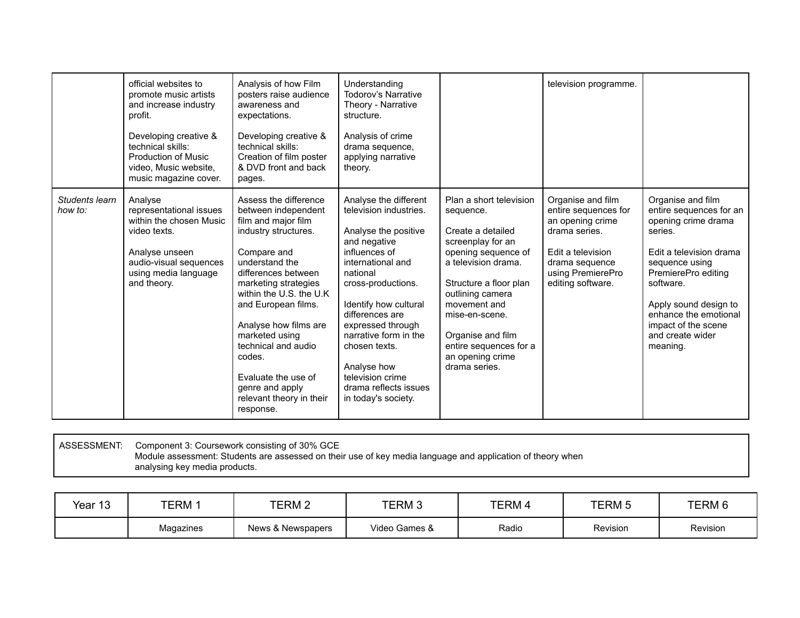|                           | official websites to<br>promote music artists<br>and increase industry<br>profit.<br>Developing creative &<br>technical skills:<br>Production of Music<br>video, Music website,<br>music magazine cover. | Analysis of how Film<br>posters raise audience<br>awareness and<br>expectations.<br>Developing creative &<br>technical skills:<br>Creation of film poster<br>& DVD front and back<br>pages.                                                                                                                                                                                                  | Understanding<br><b>Todorov's Narrative</b><br>Theory - Narrative<br>structure.<br>Analysis of crime<br>drama sequence,<br>applying narrative<br>theory.                                                                                                                                                                                                      |                                                                                                                                                                                                                                                                                                  | television programme.                                                                                                                                           |                                                                                                                                                                                                                                                                          |
|---------------------------|----------------------------------------------------------------------------------------------------------------------------------------------------------------------------------------------------------|----------------------------------------------------------------------------------------------------------------------------------------------------------------------------------------------------------------------------------------------------------------------------------------------------------------------------------------------------------------------------------------------|---------------------------------------------------------------------------------------------------------------------------------------------------------------------------------------------------------------------------------------------------------------------------------------------------------------------------------------------------------------|--------------------------------------------------------------------------------------------------------------------------------------------------------------------------------------------------------------------------------------------------------------------------------------------------|-----------------------------------------------------------------------------------------------------------------------------------------------------------------|--------------------------------------------------------------------------------------------------------------------------------------------------------------------------------------------------------------------------------------------------------------------------|
| Students learn<br>how to: | Analyse<br>representational issues<br>within the chosen Music<br>video texts.<br>Analyse unseen<br>audio-visual sequences<br>using media language<br>and theory.                                         | Assess the difference<br>between independent<br>film and major film<br>industry structures.<br>Compare and<br>understand the<br>differences between<br>marketing strategies<br>within the U.S. the U.K<br>and European films.<br>Analyse how films are<br>marketed using<br>technical and audio<br>codes.<br>Evaluate the use of<br>genre and apply<br>relevant theory in their<br>response. | Analyse the different<br>television industries.<br>Analyse the positive<br>and negative<br>influences of<br>international and<br>national<br>cross-productions.<br>Identify how cultural<br>differences are<br>expressed through<br>narrative form in the<br>chosen texts.<br>Analyse how<br>television crime<br>drama reflects issues<br>in today's society. | Plan a short television<br>sequence.<br>Create a detailed<br>screenplay for an<br>opening sequence of<br>a television drama.<br>Structure a floor plan<br>outlining camera<br>movement and<br>mise-en-scene.<br>Organise and film<br>entire sequences for a<br>an opening crime<br>drama series. | Organise and film<br>entire sequences for<br>an opening crime<br>drama series.<br>Edit a television<br>drama sequence<br>using PremierePro<br>editing software. | Organise and film<br>entire sequences for an<br>opening crime drama<br>series.<br>Edit a television drama<br>sequence using<br>PremierePro editing<br>software.<br>Apply sound design to<br>enhance the emotional<br>impact of the scene<br>and create wider<br>meaning. |

ASSESSMENT: Component 3: Coursework consisting of 30% GCE Module assessment: Students are assessed on their use of key media language and application of theory when analysing key media products.

| Year 13 | <b>TERM</b> | TERM 2            | TERM 3        | TERM 4 | TERM 5          | TERM 6   |
|---------|-------------|-------------------|---------------|--------|-----------------|----------|
|         | Magazines   | News & Newspapers | Video Games & | Radio  | <b>Revision</b> | Revision |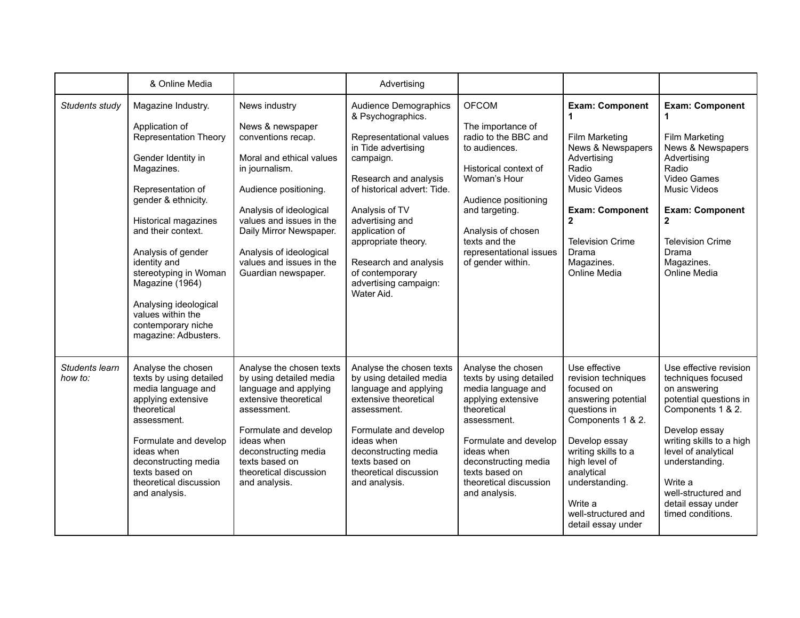|                           | & Online Media                                                                                                                                                                                                                                                                                                                                                                          |                                                                                                                                                                                                                                                                                                | Advertising                                                                                                                                                                                                                                                                                                                        |                                                                                                                                                                                                                                                      |                                                                                                                                                                                                                                                                 |                                                                                                                                                                                                                                                                                |
|---------------------------|-----------------------------------------------------------------------------------------------------------------------------------------------------------------------------------------------------------------------------------------------------------------------------------------------------------------------------------------------------------------------------------------|------------------------------------------------------------------------------------------------------------------------------------------------------------------------------------------------------------------------------------------------------------------------------------------------|------------------------------------------------------------------------------------------------------------------------------------------------------------------------------------------------------------------------------------------------------------------------------------------------------------------------------------|------------------------------------------------------------------------------------------------------------------------------------------------------------------------------------------------------------------------------------------------------|-----------------------------------------------------------------------------------------------------------------------------------------------------------------------------------------------------------------------------------------------------------------|--------------------------------------------------------------------------------------------------------------------------------------------------------------------------------------------------------------------------------------------------------------------------------|
| Students study            | Magazine Industry.<br>Application of<br><b>Representation Theory</b><br>Gender Identity in<br>Magazines.<br>Representation of<br>gender & ethnicity.<br><b>Historical magazines</b><br>and their context.<br>Analysis of gender<br>identity and<br>stereotyping in Woman<br>Magazine (1964)<br>Analysing ideological<br>values within the<br>contemporary niche<br>magazine: Adbusters. | News industry<br>News & newspaper<br>conventions recap.<br>Moral and ethical values<br>in journalism.<br>Audience positioning.<br>Analysis of ideological<br>values and issues in the<br>Daily Mirror Newspaper.<br>Analysis of ideological<br>values and issues in the<br>Guardian newspaper. | Audience Demographics<br>& Psychographics.<br>Representational values<br>in Tide advertising<br>campaign.<br>Research and analysis<br>of historical advert: Tide.<br>Analysis of TV<br>advertising and<br>application of<br>appropriate theory.<br>Research and analysis<br>of contemporary<br>advertising campaign:<br>Water Aid. | <b>OFCOM</b><br>The importance of<br>radio to the BBC and<br>to audiences.<br>Historical context of<br>Woman's Hour<br>Audience positioning<br>and targeting.<br>Analysis of chosen<br>texts and the<br>representational issues<br>of gender within. | <b>Exam: Component</b><br>1<br>Film Marketing<br>News & Newspapers<br>Advertising<br>Radio<br>Video Games<br><b>Music Videos</b><br><b>Exam: Component</b><br>$\mathbf{2}$<br><b>Television Crime</b><br>Drama<br>Magazines.<br>Online Media                    | <b>Exam: Component</b><br>1<br>Film Marketing<br>News & Newspapers<br>Advertising<br>Radio<br>Video Games<br><b>Music Videos</b><br><b>Exam: Component</b><br>2<br><b>Television Crime</b><br>Drama<br>Magazines.<br>Online Media                                              |
| Students learn<br>how to: | Analyse the chosen<br>texts by using detailed<br>media language and<br>applying extensive<br>theoretical<br>assessment.<br>Formulate and develop<br>ideas when<br>deconstructing media<br>texts based on<br>theoretical discussion<br>and analysis.                                                                                                                                     | Analyse the chosen texts<br>by using detailed media<br>language and applying<br>extensive theoretical<br>assessment.<br>Formulate and develop<br>ideas when<br>deconstructing media<br>texts based on<br>theoretical discussion<br>and analysis.                                               | Analyse the chosen texts<br>by using detailed media<br>language and applying<br>extensive theoretical<br>assessment.<br>Formulate and develop<br>ideas when<br>deconstructing media<br>texts based on<br>theoretical discussion<br>and analysis.                                                                                   | Analyse the chosen<br>texts by using detailed<br>media language and<br>applying extensive<br>theoretical<br>assessment.<br>Formulate and develop<br>ideas when<br>deconstructing media<br>texts based on<br>theoretical discussion<br>and analysis.  | Use effective<br>revision techniques<br>focused on<br>answering potential<br>questions in<br>Components 1 & 2.<br>Develop essay<br>writing skills to a<br>high level of<br>analytical<br>understanding.<br>Write a<br>well-structured and<br>detail essay under | Use effective revision<br>techniques focused<br>on answering<br>potential questions in<br>Components 1 & 2.<br>Develop essay<br>writing skills to a high<br>level of analytical<br>understanding.<br>Write a<br>well-structured and<br>detail essay under<br>timed conditions. |